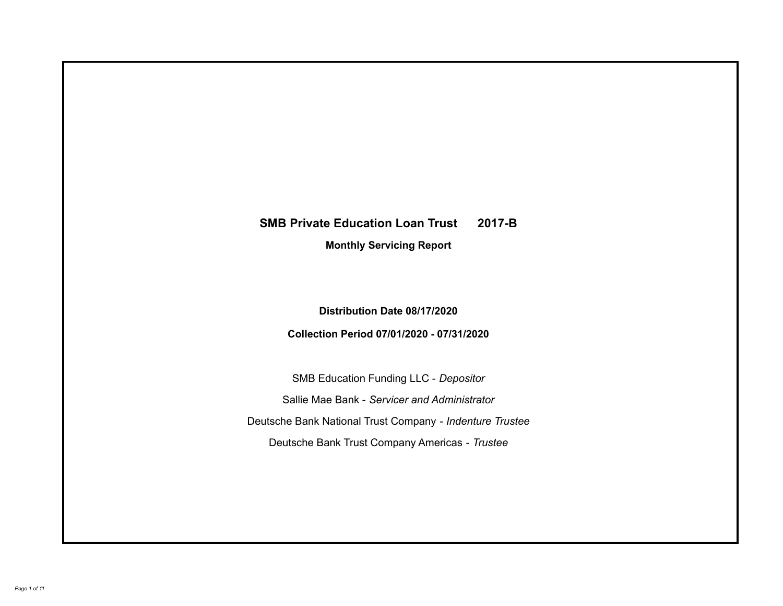# **SMB Private Education Loan Trust 2017-B Monthly Servicing Report**

**Distribution Date 08/17/2020**

**Collection Period 07/01/2020 - 07/31/2020**

SMB Education Funding LLC - *Depositor* Sallie Mae Bank - *Servicer and Administrator* Deutsche Bank National Trust Company - *Indenture Trustee* Deutsche Bank Trust Company Americas - *Trustee*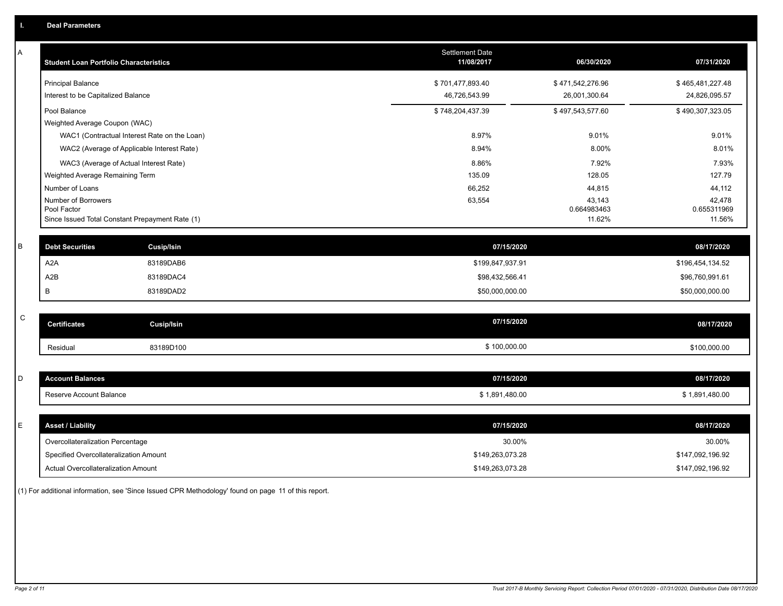| А           | <b>Student Loan Portfolio Characteristics</b>                  | <b>Settlement Date</b><br>11/08/2017 | 06/30/2020            | 07/31/2020            |
|-------------|----------------------------------------------------------------|--------------------------------------|-----------------------|-----------------------|
|             | <b>Principal Balance</b>                                       | \$701,477,893.40                     | \$471,542,276.96      | \$465,481,227.48      |
|             | Interest to be Capitalized Balance                             | 46,726,543.99                        | 26,001,300.64         | 24,826,095.57         |
|             | Pool Balance                                                   | \$748,204,437.39                     | \$497,543,577.60      | \$490,307,323.05      |
|             | Weighted Average Coupon (WAC)                                  |                                      |                       |                       |
|             | WAC1 (Contractual Interest Rate on the Loan)                   | 8.97%                                | 9.01%                 | 9.01%                 |
|             | WAC2 (Average of Applicable Interest Rate)                     | 8.94%                                | 8.00%                 | 8.01%                 |
|             | WAC3 (Average of Actual Interest Rate)                         | 8.86%                                | 7.92%                 | 7.93%                 |
|             | Weighted Average Remaining Term                                | 135.09                               | 128.05                | 127.79                |
|             | Number of Loans                                                | 66,252                               | 44,815                | 44,112                |
|             | Number of Borrowers                                            | 63,554                               | 43,143                | 42,478                |
|             | Pool Factor<br>Since Issued Total Constant Prepayment Rate (1) |                                      | 0.664983463<br>11.62% | 0.655311969<br>11.56% |
|             |                                                                |                                      |                       |                       |
| B           | <b>Debt Securities</b><br><b>Cusip/Isin</b>                    | 07/15/2020                           |                       | 08/17/2020            |
|             | A <sub>2</sub> A<br>83189DAB6                                  | \$199,847,937.91                     |                       | \$196,454,134.52      |
|             | A2B<br>83189DAC4                                               | \$98,432,566.41                      |                       | \$96,760,991.61       |
|             | B<br>83189DAD2                                                 | \$50,000,000.00                      |                       | \$50,000,000.00       |
|             |                                                                |                                      |                       |                       |
| $\mathsf C$ | <b>Certificates</b><br>Cusip/Isin                              | 07/15/2020                           |                       | 08/17/2020            |
|             | 83189D100<br>Residual                                          | \$100,000.00                         |                       | \$100,000.00          |
|             |                                                                |                                      |                       |                       |
| D           | <b>Account Balances</b>                                        | 07/15/2020                           |                       | 08/17/2020            |
|             | Reserve Account Balance                                        | \$1,891,480.00                       |                       | \$1,891,480.00        |
|             |                                                                |                                      |                       |                       |
| E           | <b>Asset / Liability</b>                                       | 07/15/2020                           |                       | 08/17/2020            |
|             | Overcollateralization Percentage                               | 30.00%                               |                       | 30.00%                |
|             | Specified Overcollateralization Amount                         | \$149,263,073.28                     |                       | \$147,092,196.92      |
|             | Actual Overcollateralization Amount                            | \$149,263,073.28                     |                       | \$147,092,196.92      |

(1) For additional information, see 'Since Issued CPR Methodology' found on page 11 of this report.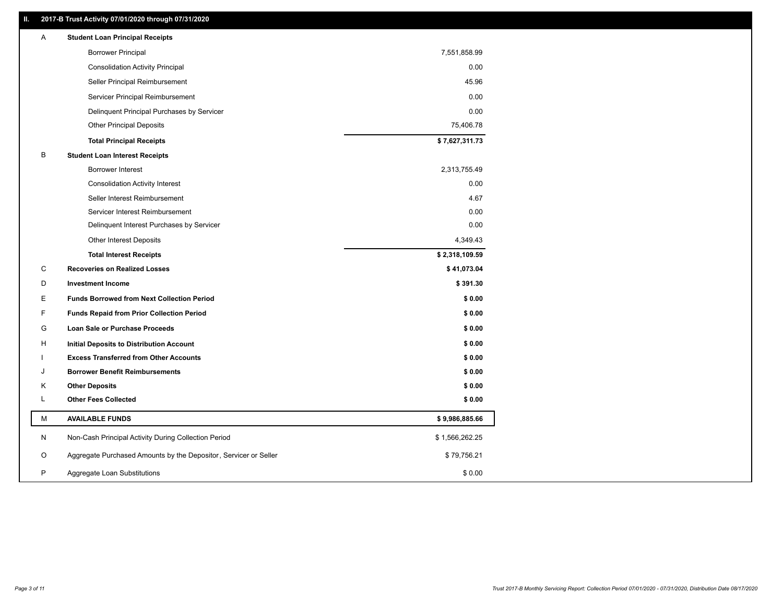### **II. 2017-B Trust Activity 07/01/2020 through 07/31/2020**

| <b>Borrower Principal</b><br>7,551,858.99<br>0.00<br><b>Consolidation Activity Principal</b><br>45.96<br>Seller Principal Reimbursement<br>Servicer Principal Reimbursement<br>0.00<br>0.00<br>Delinquent Principal Purchases by Servicer<br>75,406.78<br><b>Other Principal Deposits</b><br>\$7,627,311.73<br><b>Total Principal Receipts</b><br>B<br><b>Student Loan Interest Receipts</b><br><b>Borrower Interest</b><br>2,313,755.49<br>0.00<br><b>Consolidation Activity Interest</b><br>4.67<br>Seller Interest Reimbursement<br>0.00<br>Servicer Interest Reimbursement<br>0.00<br>Delinquent Interest Purchases by Servicer<br>4,349.43<br><b>Other Interest Deposits</b><br>\$2,318,109.59<br><b>Total Interest Receipts</b><br>C<br>\$41,073.04<br><b>Recoveries on Realized Losses</b><br>D<br><b>Investment Income</b><br>\$391.30<br>E<br><b>Funds Borrowed from Next Collection Period</b><br>\$0.00<br>F<br><b>Funds Repaid from Prior Collection Period</b><br>\$0.00<br>G<br>\$0.00<br>Loan Sale or Purchase Proceeds<br>н<br>\$0.00<br>Initial Deposits to Distribution Account<br><b>Excess Transferred from Other Accounts</b><br>\$0.00<br>\$0.00<br><b>Borrower Benefit Reimbursements</b><br>J<br>Κ<br><b>Other Deposits</b><br>\$0.00<br>Г<br><b>Other Fees Collected</b><br>\$0.00<br>М<br><b>AVAILABLE FUNDS</b><br>\$9,986,885.66<br>N<br>Non-Cash Principal Activity During Collection Period<br>\$1,566,262.25<br>Aggregate Purchased Amounts by the Depositor, Servicer or Seller<br>O<br>\$79,756.21<br>P<br>Aggregate Loan Substitutions<br>\$0.00 | Α | <b>Student Loan Principal Receipts</b> |  |
|------------------------------------------------------------------------------------------------------------------------------------------------------------------------------------------------------------------------------------------------------------------------------------------------------------------------------------------------------------------------------------------------------------------------------------------------------------------------------------------------------------------------------------------------------------------------------------------------------------------------------------------------------------------------------------------------------------------------------------------------------------------------------------------------------------------------------------------------------------------------------------------------------------------------------------------------------------------------------------------------------------------------------------------------------------------------------------------------------------------------------------------------------------------------------------------------------------------------------------------------------------------------------------------------------------------------------------------------------------------------------------------------------------------------------------------------------------------------------------------------------------------------------------------------------------------------------------|---|----------------------------------------|--|
|                                                                                                                                                                                                                                                                                                                                                                                                                                                                                                                                                                                                                                                                                                                                                                                                                                                                                                                                                                                                                                                                                                                                                                                                                                                                                                                                                                                                                                                                                                                                                                                    |   |                                        |  |
|                                                                                                                                                                                                                                                                                                                                                                                                                                                                                                                                                                                                                                                                                                                                                                                                                                                                                                                                                                                                                                                                                                                                                                                                                                                                                                                                                                                                                                                                                                                                                                                    |   |                                        |  |
|                                                                                                                                                                                                                                                                                                                                                                                                                                                                                                                                                                                                                                                                                                                                                                                                                                                                                                                                                                                                                                                                                                                                                                                                                                                                                                                                                                                                                                                                                                                                                                                    |   |                                        |  |
|                                                                                                                                                                                                                                                                                                                                                                                                                                                                                                                                                                                                                                                                                                                                                                                                                                                                                                                                                                                                                                                                                                                                                                                                                                                                                                                                                                                                                                                                                                                                                                                    |   |                                        |  |
|                                                                                                                                                                                                                                                                                                                                                                                                                                                                                                                                                                                                                                                                                                                                                                                                                                                                                                                                                                                                                                                                                                                                                                                                                                                                                                                                                                                                                                                                                                                                                                                    |   |                                        |  |
|                                                                                                                                                                                                                                                                                                                                                                                                                                                                                                                                                                                                                                                                                                                                                                                                                                                                                                                                                                                                                                                                                                                                                                                                                                                                                                                                                                                                                                                                                                                                                                                    |   |                                        |  |
|                                                                                                                                                                                                                                                                                                                                                                                                                                                                                                                                                                                                                                                                                                                                                                                                                                                                                                                                                                                                                                                                                                                                                                                                                                                                                                                                                                                                                                                                                                                                                                                    |   |                                        |  |
|                                                                                                                                                                                                                                                                                                                                                                                                                                                                                                                                                                                                                                                                                                                                                                                                                                                                                                                                                                                                                                                                                                                                                                                                                                                                                                                                                                                                                                                                                                                                                                                    |   |                                        |  |
|                                                                                                                                                                                                                                                                                                                                                                                                                                                                                                                                                                                                                                                                                                                                                                                                                                                                                                                                                                                                                                                                                                                                                                                                                                                                                                                                                                                                                                                                                                                                                                                    |   |                                        |  |
|                                                                                                                                                                                                                                                                                                                                                                                                                                                                                                                                                                                                                                                                                                                                                                                                                                                                                                                                                                                                                                                                                                                                                                                                                                                                                                                                                                                                                                                                                                                                                                                    |   |                                        |  |
|                                                                                                                                                                                                                                                                                                                                                                                                                                                                                                                                                                                                                                                                                                                                                                                                                                                                                                                                                                                                                                                                                                                                                                                                                                                                                                                                                                                                                                                                                                                                                                                    |   |                                        |  |
|                                                                                                                                                                                                                                                                                                                                                                                                                                                                                                                                                                                                                                                                                                                                                                                                                                                                                                                                                                                                                                                                                                                                                                                                                                                                                                                                                                                                                                                                                                                                                                                    |   |                                        |  |
|                                                                                                                                                                                                                                                                                                                                                                                                                                                                                                                                                                                                                                                                                                                                                                                                                                                                                                                                                                                                                                                                                                                                                                                                                                                                                                                                                                                                                                                                                                                                                                                    |   |                                        |  |
|                                                                                                                                                                                                                                                                                                                                                                                                                                                                                                                                                                                                                                                                                                                                                                                                                                                                                                                                                                                                                                                                                                                                                                                                                                                                                                                                                                                                                                                                                                                                                                                    |   |                                        |  |
|                                                                                                                                                                                                                                                                                                                                                                                                                                                                                                                                                                                                                                                                                                                                                                                                                                                                                                                                                                                                                                                                                                                                                                                                                                                                                                                                                                                                                                                                                                                                                                                    |   |                                        |  |
|                                                                                                                                                                                                                                                                                                                                                                                                                                                                                                                                                                                                                                                                                                                                                                                                                                                                                                                                                                                                                                                                                                                                                                                                                                                                                                                                                                                                                                                                                                                                                                                    |   |                                        |  |
|                                                                                                                                                                                                                                                                                                                                                                                                                                                                                                                                                                                                                                                                                                                                                                                                                                                                                                                                                                                                                                                                                                                                                                                                                                                                                                                                                                                                                                                                                                                                                                                    |   |                                        |  |
|                                                                                                                                                                                                                                                                                                                                                                                                                                                                                                                                                                                                                                                                                                                                                                                                                                                                                                                                                                                                                                                                                                                                                                                                                                                                                                                                                                                                                                                                                                                                                                                    |   |                                        |  |
|                                                                                                                                                                                                                                                                                                                                                                                                                                                                                                                                                                                                                                                                                                                                                                                                                                                                                                                                                                                                                                                                                                                                                                                                                                                                                                                                                                                                                                                                                                                                                                                    |   |                                        |  |
|                                                                                                                                                                                                                                                                                                                                                                                                                                                                                                                                                                                                                                                                                                                                                                                                                                                                                                                                                                                                                                                                                                                                                                                                                                                                                                                                                                                                                                                                                                                                                                                    |   |                                        |  |
|                                                                                                                                                                                                                                                                                                                                                                                                                                                                                                                                                                                                                                                                                                                                                                                                                                                                                                                                                                                                                                                                                                                                                                                                                                                                                                                                                                                                                                                                                                                                                                                    |   |                                        |  |
|                                                                                                                                                                                                                                                                                                                                                                                                                                                                                                                                                                                                                                                                                                                                                                                                                                                                                                                                                                                                                                                                                                                                                                                                                                                                                                                                                                                                                                                                                                                                                                                    |   |                                        |  |
|                                                                                                                                                                                                                                                                                                                                                                                                                                                                                                                                                                                                                                                                                                                                                                                                                                                                                                                                                                                                                                                                                                                                                                                                                                                                                                                                                                                                                                                                                                                                                                                    |   |                                        |  |
|                                                                                                                                                                                                                                                                                                                                                                                                                                                                                                                                                                                                                                                                                                                                                                                                                                                                                                                                                                                                                                                                                                                                                                                                                                                                                                                                                                                                                                                                                                                                                                                    |   |                                        |  |
|                                                                                                                                                                                                                                                                                                                                                                                                                                                                                                                                                                                                                                                                                                                                                                                                                                                                                                                                                                                                                                                                                                                                                                                                                                                                                                                                                                                                                                                                                                                                                                                    |   |                                        |  |
|                                                                                                                                                                                                                                                                                                                                                                                                                                                                                                                                                                                                                                                                                                                                                                                                                                                                                                                                                                                                                                                                                                                                                                                                                                                                                                                                                                                                                                                                                                                                                                                    |   |                                        |  |
|                                                                                                                                                                                                                                                                                                                                                                                                                                                                                                                                                                                                                                                                                                                                                                                                                                                                                                                                                                                                                                                                                                                                                                                                                                                                                                                                                                                                                                                                                                                                                                                    |   |                                        |  |
|                                                                                                                                                                                                                                                                                                                                                                                                                                                                                                                                                                                                                                                                                                                                                                                                                                                                                                                                                                                                                                                                                                                                                                                                                                                                                                                                                                                                                                                                                                                                                                                    |   |                                        |  |
|                                                                                                                                                                                                                                                                                                                                                                                                                                                                                                                                                                                                                                                                                                                                                                                                                                                                                                                                                                                                                                                                                                                                                                                                                                                                                                                                                                                                                                                                                                                                                                                    |   |                                        |  |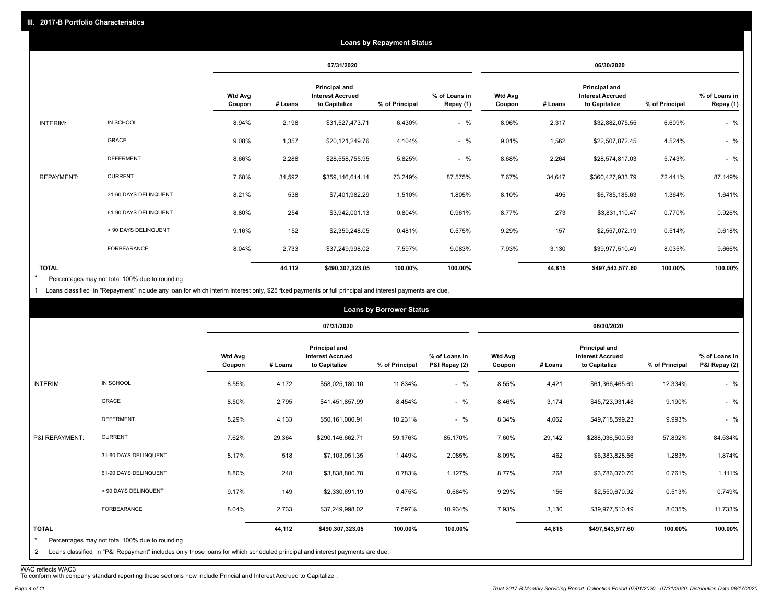| <b>Loans by Repayment Status</b> |                       |                          |            |                                                                  |                |                            |                          |         |                                                           |                |                            |
|----------------------------------|-----------------------|--------------------------|------------|------------------------------------------------------------------|----------------|----------------------------|--------------------------|---------|-----------------------------------------------------------|----------------|----------------------------|
|                                  |                       |                          | 07/31/2020 |                                                                  | 06/30/2020     |                            |                          |         |                                                           |                |                            |
|                                  |                       | <b>Wtd Avg</b><br>Coupon | # Loans    | <b>Principal and</b><br><b>Interest Accrued</b><br>to Capitalize | % of Principal | % of Loans in<br>Repay (1) | <b>Wtd Avg</b><br>Coupon | # Loans | Principal and<br><b>Interest Accrued</b><br>to Capitalize | % of Principal | % of Loans in<br>Repay (1) |
| INTERIM:                         | IN SCHOOL             | 8.94%                    | 2,198      | \$31,527,473.71                                                  | 6.430%         | $-$ %                      | 8.96%                    | 2,317   | \$32,882,075.55                                           | 6.609%         | $-$ %                      |
|                                  | GRACE                 | 9.08%                    | 1,357      | \$20,121,249.76                                                  | 4.104%         | $-$ %                      | 9.01%                    | 1,562   | \$22,507,872.45                                           | 4.524%         | $-$ %                      |
|                                  | <b>DEFERMENT</b>      | 8.66%                    | 2,288      | \$28,558,755.95                                                  | 5.825%         | $-$ %                      | 8.68%                    | 2,264   | \$28,574,817.03                                           | 5.743%         | $-$ %                      |
| <b>REPAYMENT:</b>                | <b>CURRENT</b>        | 7.68%                    | 34,592     | \$359,146,614.14                                                 | 73.249%        | 87.575%                    | 7.67%                    | 34,617  | \$360,427,933.79                                          | 72.441%        | 87.149%                    |
|                                  | 31-60 DAYS DELINQUENT | 8.21%                    | 538        | \$7,401,982.29                                                   | 1.510%         | 1.805%                     | 8.10%                    | 495     | \$6,785,185.63                                            | 1.364%         | 1.641%                     |
|                                  | 61-90 DAYS DELINQUENT | 8.80%                    | 254        | \$3,942,001.13                                                   | 0.804%         | 0.961%                     | 8.77%                    | 273     | \$3,831,110.47                                            | 0.770%         | 0.926%                     |
|                                  | > 90 DAYS DELINQUENT  | 9.16%                    | 152        | \$2,359,248.05                                                   | 0.481%         | 0.575%                     | 9.29%                    | 157     | \$2,557,072.19                                            | 0.514%         | 0.618%                     |
|                                  | FORBEARANCE           | 8.04%                    | 2,733      | \$37,249,998.02                                                  | 7.597%         | 9.083%                     | 7.93%                    | 3,130   | \$39,977,510.49                                           | 8.035%         | 9.666%                     |
| <b>TOTAL</b>                     |                       |                          | 44,112     | \$490,307,323.05                                                 | 100.00%        | 100.00%                    |                          | 44,815  | \$497,543,577.60                                          | 100.00%        | 100.00%                    |

Percentages may not total 100% due to rounding \*

1 Loans classified in "Repayment" include any loan for which interim interest only, \$25 fixed payments or full principal and interest payments are due.

|         | 07/31/2020                                                       |                | <b>Loans by Borrower Status</b>                                                                                            |                          |         | 06/30/2020                                                       |                |                                |
|---------|------------------------------------------------------------------|----------------|----------------------------------------------------------------------------------------------------------------------------|--------------------------|---------|------------------------------------------------------------------|----------------|--------------------------------|
| # Loans | <b>Principal and</b><br><b>Interest Accrued</b><br>to Capitalize | % of Principal | % of Loans in<br>P&I Repay (2)                                                                                             | <b>Wtd Avg</b><br>Coupon | # Loans | <b>Principal and</b><br><b>Interest Accrued</b><br>to Capitalize | % of Principal | % of Loans in<br>P&I Repay (2) |
| 4,172   | \$58,025,180.10                                                  | 11.834%        | $-$ %                                                                                                                      | 8.55%                    | 4,421   | \$61,366,465.69                                                  | 12.334%        | $-$ %                          |
| 2,795   | \$41,451,857.99                                                  | 8.454%         | $-$ %                                                                                                                      | 8.46%                    | 3,174   | \$45,723,931.48                                                  | 9.190%         | $-$ %                          |
| 4,133   | \$50,161,080.91                                                  | 10.231%        | $-$ %                                                                                                                      | 8.34%                    | 4,062   | \$49,718,599.23                                                  | 9.993%         | $-$ %                          |
| 29,364  | \$290,146,662.71                                                 | 59.176%        | 85.170%                                                                                                                    | 7.60%                    | 29,142  | \$288,036,500.53                                                 | 57.892%        | 84.534%                        |
| 518     | \$7,103,051.35                                                   | 1.449%         | 2.085%                                                                                                                     | 8.09%                    | 462     | \$6,383,828.56                                                   | 1.283%         | 1.874%                         |
| 248     | \$3,838,800.78                                                   | 0.783%         | 1.127%                                                                                                                     | 8.77%                    | 268     | \$3,786,070.70                                                   | 0.761%         | 1.111%                         |
| 149     | \$2,330,691.19                                                   | 0.475%         | 0.684%                                                                                                                     | 9.29%                    | 156     | \$2,550,670.92                                                   | 0.513%         | 0.749%                         |
| 2,733   | \$37,249,998.02                                                  | 7.597%         | 10.934%                                                                                                                    | 7.93%                    | 3,130   | \$39,977,510.49                                                  | 8.035%         | 11.733%                        |
| 44,112  | \$490,307,323.05                                                 | 100.00%        | 100.00%                                                                                                                    |                          | 44,815  | \$497,543,577.60                                                 | 100.00%        | 100.00%                        |
|         |                                                                  |                | Loans classified in "P&I Repayment" includes only those loans for which scheduled principal and interest payments are due. |                          |         |                                                                  |                |                                |

WAC reflects WAC3 To conform with company standard reporting these sections now include Princial and Interest Accrued to Capitalize .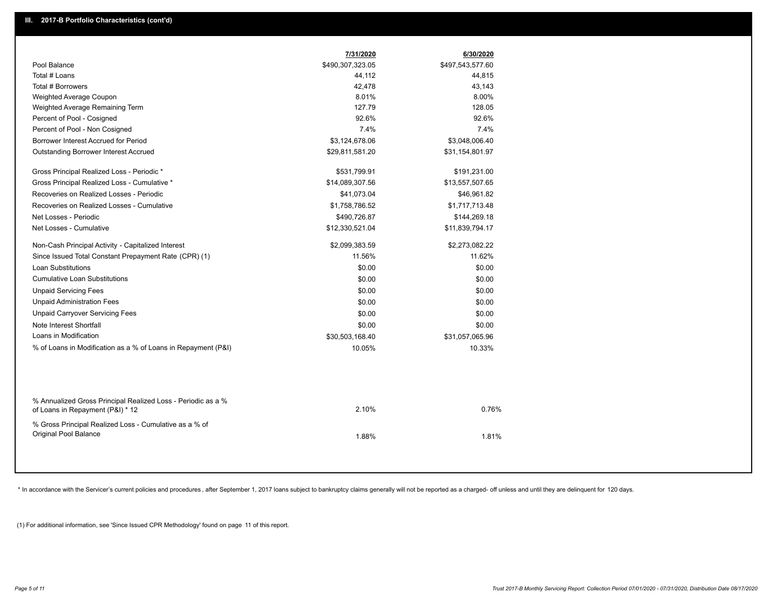|                                                                                                  | 7/31/2020        | 6/30/2020        |  |
|--------------------------------------------------------------------------------------------------|------------------|------------------|--|
| Pool Balance                                                                                     | \$490,307,323.05 | \$497,543,577.60 |  |
| Total # Loans                                                                                    | 44,112           | 44,815           |  |
| Total # Borrowers                                                                                | 42,478           | 43,143           |  |
| Weighted Average Coupon                                                                          | 8.01%            | 8.00%            |  |
| Weighted Average Remaining Term                                                                  | 127.79           | 128.05           |  |
| Percent of Pool - Cosigned                                                                       | 92.6%            | 92.6%            |  |
| Percent of Pool - Non Cosigned                                                                   | 7.4%             | 7.4%             |  |
| Borrower Interest Accrued for Period                                                             | \$3,124,678.06   | \$3,048,006.40   |  |
| Outstanding Borrower Interest Accrued                                                            | \$29,811,581.20  | \$31,154,801.97  |  |
| Gross Principal Realized Loss - Periodic *                                                       | \$531,799.91     | \$191,231.00     |  |
| Gross Principal Realized Loss - Cumulative *                                                     | \$14,089,307.56  | \$13,557,507.65  |  |
| Recoveries on Realized Losses - Periodic                                                         | \$41,073.04      | \$46,961.82      |  |
| Recoveries on Realized Losses - Cumulative                                                       | \$1,758,786.52   | \$1,717,713.48   |  |
| Net Losses - Periodic                                                                            | \$490,726.87     | \$144,269.18     |  |
| Net Losses - Cumulative                                                                          | \$12,330,521.04  | \$11,839,794.17  |  |
|                                                                                                  |                  |                  |  |
| Non-Cash Principal Activity - Capitalized Interest                                               | \$2,099,383.59   | \$2,273,082.22   |  |
| Since Issued Total Constant Prepayment Rate (CPR) (1)                                            | 11.56%           | 11.62%           |  |
| <b>Loan Substitutions</b>                                                                        | \$0.00           | \$0.00           |  |
| <b>Cumulative Loan Substitutions</b>                                                             | \$0.00           | \$0.00           |  |
| <b>Unpaid Servicing Fees</b>                                                                     | \$0.00           | \$0.00           |  |
| <b>Unpaid Administration Fees</b>                                                                | \$0.00           | \$0.00           |  |
| <b>Unpaid Carryover Servicing Fees</b>                                                           | \$0.00           | \$0.00           |  |
| Note Interest Shortfall                                                                          | \$0.00           | \$0.00           |  |
| Loans in Modification                                                                            | \$30,503,168.40  | \$31,057,065.96  |  |
| % of Loans in Modification as a % of Loans in Repayment (P&I)                                    | 10.05%           | 10.33%           |  |
|                                                                                                  |                  |                  |  |
| % Annualized Gross Principal Realized Loss - Periodic as a %<br>of Loans in Repayment (P&I) * 12 | 2.10%            | 0.76%            |  |
| % Gross Principal Realized Loss - Cumulative as a % of<br>Original Pool Balance                  | 1.88%            | 1.81%            |  |

\* In accordance with the Servicer's current policies and procedures, after September 1, 2017 loans subject to bankruptcy claims generally will not be reported as a charged- off unless and until they are delinquent for 120

(1) For additional information, see 'Since Issued CPR Methodology' found on page 11 of this report.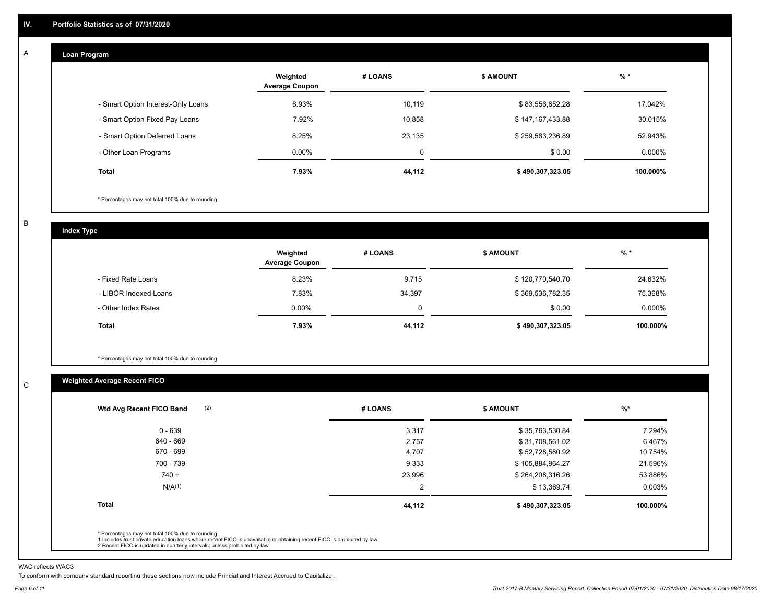#### **Loan Program**  A

|                                    | Weighted<br><b>Average Coupon</b> | # LOANS     | <b>\$ AMOUNT</b> | $%$ *    |
|------------------------------------|-----------------------------------|-------------|------------------|----------|
| - Smart Option Interest-Only Loans | 6.93%                             | 10,119      | \$83,556,652.28  | 17.042%  |
| - Smart Option Fixed Pay Loans     | 7.92%                             | 10,858      | \$147,167,433.88 | 30.015%  |
| - Smart Option Deferred Loans      | 8.25%                             | 23,135      | \$259,583,236.89 | 52.943%  |
| - Other Loan Programs              | $0.00\%$                          | $\mathbf 0$ | \$0.00           | 0.000%   |
| <b>Total</b>                       | 7.93%                             | 44,112      | \$490,307,323.05 | 100.000% |

\* Percentages may not total 100% due to rounding

B

C

**Index Type**

|                       | Weighted<br><b>Average Coupon</b> | # LOANS     | <b>\$ AMOUNT</b> | $%$ *     |
|-----------------------|-----------------------------------|-------------|------------------|-----------|
| - Fixed Rate Loans    | 8.23%                             | 9,715       | \$120,770,540.70 | 24.632%   |
| - LIBOR Indexed Loans | 7.83%                             | 34,397      | \$369,536,782.35 | 75.368%   |
| - Other Index Rates   | $0.00\%$                          | $\mathbf 0$ | \$0.00           | $0.000\%$ |
| <b>Total</b>          | 7.93%                             | 44,112      | \$490,307,323.05 | 100.000%  |

\* Percentages may not total 100% due to rounding

## **Weighted Average Recent FICO**

| (2)<br>Wtd Avg Recent FICO Band | # LOANS | \$ AMOUNT        | $%$ *    |
|---------------------------------|---------|------------------|----------|
| $0 - 639$                       | 3,317   | \$35,763,530.84  | 7.294%   |
| 640 - 669                       | 2,757   | \$31,708,561.02  | 6.467%   |
| 670 - 699                       | 4,707   | \$52,728,580.92  | 10.754%  |
| 700 - 739                       | 9,333   | \$105,884,964.27 | 21.596%  |
| $740 +$                         | 23,996  | \$264,208,316.26 | 53.886%  |
| N/A <sup>(1)</sup>              | 2       | \$13,369.74      | 0.003%   |
| <b>Total</b>                    | 44,112  | \$490,307,323.05 | 100.000% |
|                                 |         |                  |          |

WAC reflects WAC3

To conform with company standard reporting these sections now include Princial and Interest Accrued to Capitalize .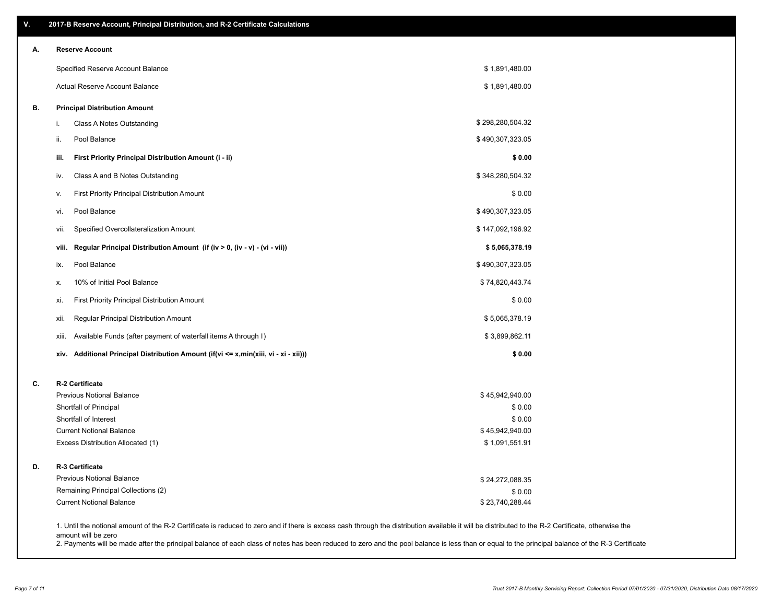| V. | 2017-B Reserve Account, Principal Distribution, and R-2 Certificate Calculations                                                                                                                   |                                   |  |
|----|----------------------------------------------------------------------------------------------------------------------------------------------------------------------------------------------------|-----------------------------------|--|
| А. | <b>Reserve Account</b>                                                                                                                                                                             |                                   |  |
|    | Specified Reserve Account Balance                                                                                                                                                                  | \$1,891,480.00                    |  |
|    | Actual Reserve Account Balance                                                                                                                                                                     | \$1,891,480.00                    |  |
| В. | <b>Principal Distribution Amount</b>                                                                                                                                                               |                                   |  |
|    | Class A Notes Outstanding<br>i.                                                                                                                                                                    | \$298,280,504.32                  |  |
|    | Pool Balance<br>ii.                                                                                                                                                                                | \$490,307,323.05                  |  |
|    | iii.<br>First Priority Principal Distribution Amount (i - ii)                                                                                                                                      | \$0.00                            |  |
|    | Class A and B Notes Outstanding<br>iv.                                                                                                                                                             | \$348,280,504.32                  |  |
|    | <b>First Priority Principal Distribution Amount</b><br>ν.                                                                                                                                          | \$0.00                            |  |
|    | Pool Balance<br>vi.                                                                                                                                                                                | \$490,307,323.05                  |  |
|    | Specified Overcollateralization Amount<br>vii.                                                                                                                                                     | \$147,092,196.92                  |  |
|    | Regular Principal Distribution Amount (if (iv > 0, (iv - v) - (vi - vii))<br>viii.                                                                                                                 | \$5,065,378.19                    |  |
|    | Pool Balance<br>ix.                                                                                                                                                                                | \$490,307,323.05                  |  |
|    | 10% of Initial Pool Balance<br>х.                                                                                                                                                                  | \$74,820,443.74                   |  |
|    | First Priority Principal Distribution Amount<br>xi.                                                                                                                                                | \$0.00                            |  |
|    | Regular Principal Distribution Amount<br>xii.                                                                                                                                                      | \$5,065,378.19                    |  |
|    | Available Funds (after payment of waterfall items A through I)<br>xiii.                                                                                                                            | \$3,899,862.11                    |  |
|    | xiv. Additional Principal Distribution Amount (if(vi <= x,min(xiii, vi - xi - xii)))                                                                                                               | \$0.00                            |  |
| C. | R-2 Certificate                                                                                                                                                                                    |                                   |  |
|    | <b>Previous Notional Balance</b>                                                                                                                                                                   | \$45,942,940.00                   |  |
|    | Shortfall of Principal                                                                                                                                                                             | \$0.00                            |  |
|    | Shortfall of Interest                                                                                                                                                                              | \$0.00                            |  |
|    | <b>Current Notional Balance</b><br>Excess Distribution Allocated (1)                                                                                                                               | \$45,942,940.00<br>\$1,091,551.91 |  |
| D. | R-3 Certificate                                                                                                                                                                                    |                                   |  |
|    | <b>Previous Notional Balance</b>                                                                                                                                                                   | \$24,272,088.35                   |  |
|    | Remaining Principal Collections (2)                                                                                                                                                                | \$0.00                            |  |
|    | <b>Current Notional Balance</b>                                                                                                                                                                    | \$23,740,288.44                   |  |
|    | 1. Until the notional amount of the R-2 Certificate is reduced to zero and if there is excess cash through the distribution available it will be distributed to the R-2 Certificate, otherwise the |                                   |  |

amount will be zero

2. Payments will be made after the principal balance of each class of notes has been reduced to zero and the pool balance is less than or equal to the principal balance of the R-3 Certificate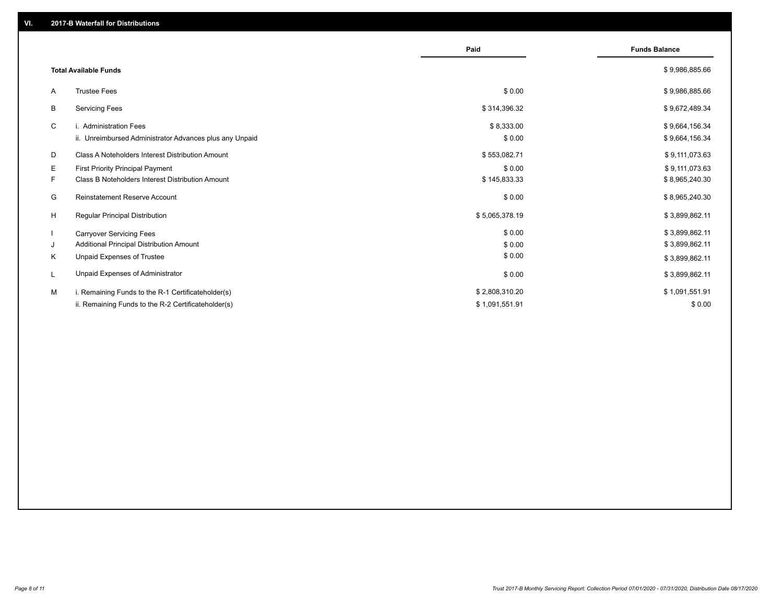|              |                                                         | Paid           | <b>Funds Balance</b> |
|--------------|---------------------------------------------------------|----------------|----------------------|
|              | <b>Total Available Funds</b>                            |                | \$9,986,885.66       |
| A            | <b>Trustee Fees</b>                                     | \$0.00         | \$9,986,885.66       |
| В            | <b>Servicing Fees</b>                                   | \$314,396.32   | \$9,672,489.34       |
| C            | i. Administration Fees                                  | \$8,333.00     | \$9,664,156.34       |
|              | ii. Unreimbursed Administrator Advances plus any Unpaid | \$0.00         | \$9,664,156.34       |
| D            | Class A Noteholders Interest Distribution Amount        | \$553,082.71   | \$9,111,073.63       |
| E.           | <b>First Priority Principal Payment</b>                 | \$0.00         | \$9,111,073.63       |
| F.           | Class B Noteholders Interest Distribution Amount        | \$145,833.33   | \$8,965,240.30       |
| G            | <b>Reinstatement Reserve Account</b>                    | \$0.00         | \$8,965,240.30       |
| H            | <b>Regular Principal Distribution</b>                   | \$5,065,378.19 | \$3,899,862.11       |
| $\mathbf{I}$ | <b>Carryover Servicing Fees</b>                         | \$0.00         | \$3,899,862.11       |
| J            | Additional Principal Distribution Amount                | \$0.00         | \$3,899,862.11       |
| Κ            | Unpaid Expenses of Trustee                              | \$0.00         | \$3,899,862.11       |
| L            | Unpaid Expenses of Administrator                        | \$0.00         | \$3,899,862.11       |
| M            | i. Remaining Funds to the R-1 Certificateholder(s)      | \$2,808,310.20 | \$1,091,551.91       |
|              | ii. Remaining Funds to the R-2 Certificateholder(s)     | \$1,091,551.91 | \$0.00               |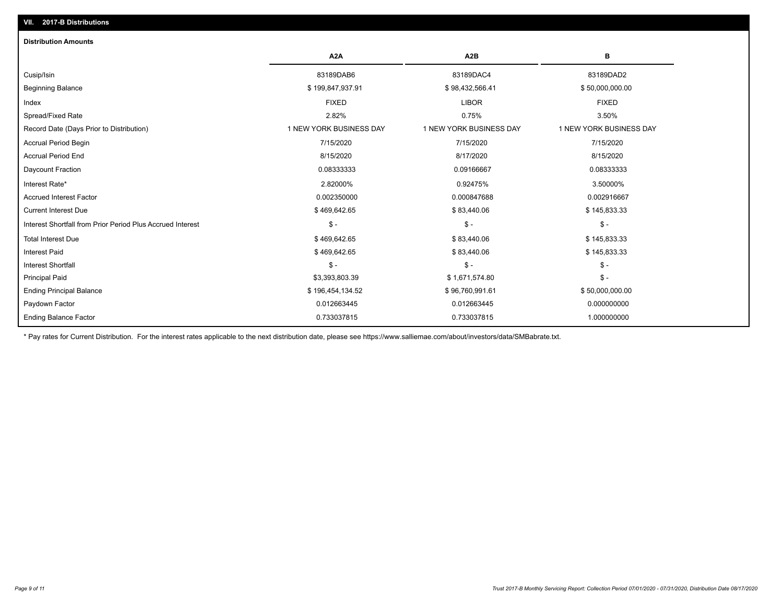## Interest Shortfall from Prior Period Plus Accrued Interest \$ - \$ - \$ - Current Interest Due \$ 469,642.65 \$ 83,440.06 \$ 145,833.33 Accrued Interest Factor 0.002350000 0.000847688 0.002916667 Interest Rate\* 2.82000% 0.92475% 3.50000% Daycount Fraction 0.08333333 0.09166667 0.08333333 Accrual Period End 8/15/2020 8/17/2020 8/15/2020 Accrual Period Begin 7/15/2020 7/15/2020 7/15/2020 Record Date (Days Prior to Distribution) 1 1 NEW YORK BUSINESS DAY 1 NEW YORK BUSINESS DAY 1 NEW YORK BUSINESS DAY Spread/Fixed Rate 2.82% 0.75% 3.50% Index FIXED LIBOR FIXED Beginning Balance \$ 199,847,937.91 \$ 98,432,566.41 \$ 50,000,000.00 Cusip/Isin 83189DAB6 83189DAC4 83189DAD2 **A2A A2B B Distribution Amounts VII. 2017-B Distributions**

\* Pay rates for Current Distribution. For the interest rates applicable to the next distribution date, please see https://www.salliemae.com/about/investors/data/SMBabrate.txt.

Paydown Factor 0.012663445 0.012663445 0.000000000 Ending Principal Balance \$ 196,454,134.52 \$ \$9,760,991.61 \$ \$96,760,991.61 \$50,000,000.00 Principal Paid \$3,393,803.39 \$ 1,671,574.80 \$ - Interest Shortfall \$ - \$ - \$ - Interest Paid \$145,833.33 \$ 145,833.33 \$ 169,642.65 \$ 83,440.06 \$ 83,440.06 Total Interest Due \$ 145,833.33 \$ 83,440.06 \$ 145,833.33 \$ 83,440.06 \$ 83,440.06

0.733037815 0.733037815 1.000000000

Ending Balance Factor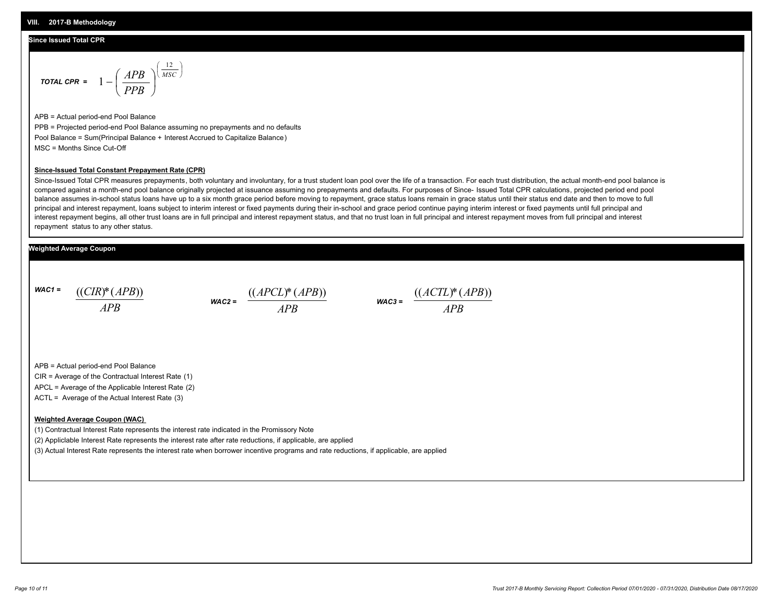#### **Since Issued Total CPR**

$$
\text{total CPR} = 1 - \left(\frac{APB}{PPB}\right)^{\left(\frac{12}{MSC}\right)}
$$

APB = Actual period-end Pool Balance PPB = Projected period-end Pool Balance assuming no prepayments and no defaults Pool Balance = Sum(Principal Balance + Interest Accrued to Capitalize Balance) MSC = Months Since Cut-Off

#### **Since-Issued Total Constant Prepayment Rate (CPR)**

Since-Issued Total CPR measures prepayments, both voluntary and involuntary, for a trust student loan pool over the life of a transaction. For each trust distribution, the actual month-end pool balance is compared against a month-end pool balance originally projected at issuance assuming no prepayments and defaults. For purposes of Since- Issued Total CPR calculations, projected period end pool balance assumes in-school status loans have up to a six month grace period before moving to repayment, grace status loans remain in grace status until their status end date and then to move to full principal and interest repayment, loans subject to interim interest or fixed payments during their in-school and grace period continue paying interim interest or fixed payments until full principal and interest repayment begins, all other trust loans are in full principal and interest repayment status, and that no trust loan in full principal and interest repayment moves from full principal and interest repayment status to any other status.

#### **Weighted Average Coupon**

*WAC1 = APB* ((*CIR*)\*(*APB*))





APB = Actual period-end Pool Balance

CIR = Average of the Contractual Interest Rate (1)

APCL = Average of the Applicable Interest Rate (2)

ACTL = Average of the Actual Interest Rate (3)

#### **Weighted Average Coupon (WAC)**

(1) Contractual Interest Rate represents the interest rate indicated in the Promissory Note

(2) Appliclable Interest Rate represents the interest rate after rate reductions, if applicable, are applied

(3) Actual Interest Rate represents the interest rate when borrower incentive programs and rate reductions, if applicable, are applied